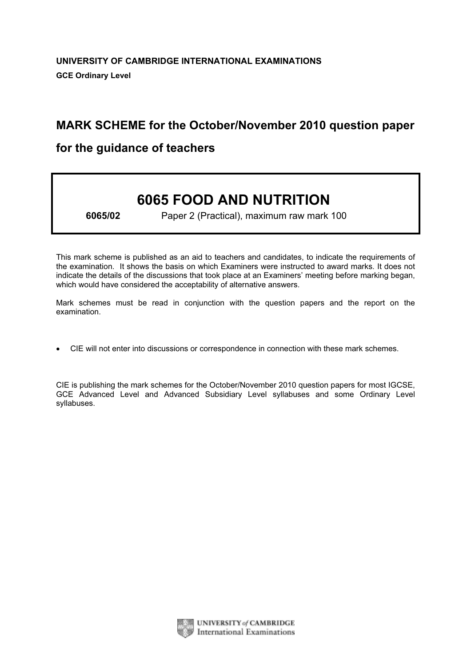# MARK SCHEME for the October/November 2010 question paper

## for the guidance of teachers

# 6065 FOOD AND NUTRITION

6065/02 Paper 2 (Practical), maximum raw mark 100

This mark scheme is published as an aid to teachers and candidates, to indicate the requirements of the examination. It shows the basis on which Examiners were instructed to award marks. It does not indicate the details of the discussions that took place at an Examiners' meeting before marking began, which would have considered the acceptability of alternative answers.

Mark schemes must be read in conjunction with the question papers and the report on the examination.

*•* CIE will not enter into discussions or correspondence in connection with these mark schemes.

CIE is publishing the mark schemes for the October/November 2010 question papers for most IGCSE, GCE Advanced Level and Advanced Subsidiary Level syllabuses and some Ordinary Level syllabuses.

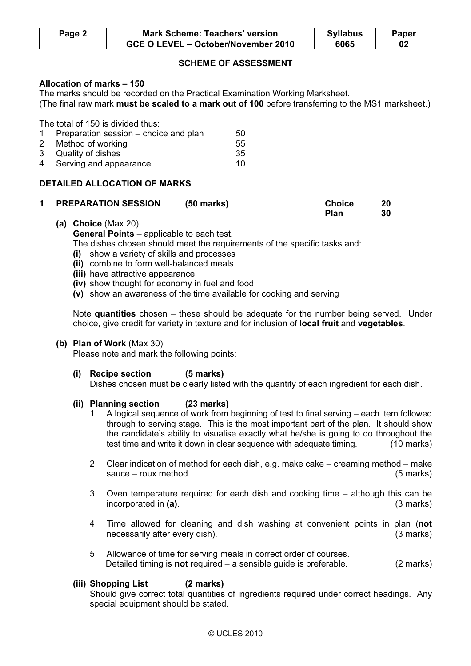| Page 2 | <b>Mark Scheme: Teachers' version</b> |      | Paper |
|--------|---------------------------------------|------|-------|
|        | GCE O LEVEL – October/November 2010   | 6065 |       |

### SCHEME OF ASSESSMENT

#### Allocation of marks – 150

The marks should be recorded on the Practical Examination Working Marksheet. (The final raw mark must be scaled to a mark out of 100 before transferring to the MS1 marksheet.)

The total of 150 is divided thus:

| 1 Preparation session – choice and plan | 50  |
|-----------------------------------------|-----|
| 2 Method of working                     | 55  |
| 3 Quality of dishes                     | -35 |
| 4 Serving and appearance                | 10. |

#### DETAILED ALLOCATION OF MARKS

| <b>PREPARATION SESSION</b> | $(50$ marks) | <b>Choice</b> | 20 |
|----------------------------|--------------|---------------|----|
|                            |              | Plan          | 30 |

 (a) Choice (Max 20) General Points – applicable to each test.

The dishes chosen should meet the requirements of the specific tasks and:

- (i) show a variety of skills and processes
- (ii) combine to form well-balanced meals
- (iii) have attractive appearance
- (iv) show thought for economy in fuel and food
- (v) show an awareness of the time available for cooking and serving

Note quantities chosen – these should be adequate for the number being served. Under choice, give credit for variety in texture and for inclusion of local fruit and vegetables.

#### (b) Plan of Work (Max 30)

Please note and mark the following points:

 (i) Recipe section (5 marks) Dishes chosen must be clearly listed with the quantity of each ingredient for each dish.

#### (ii) Planning section (23 marks)

- 1 A logical sequence of work from beginning of test to final serving each item followed through to serving stage. This is the most important part of the plan. It should show the candidate's ability to visualise exactly what he/she is going to do throughout the test time and write it down in clear sequence with adequate timing. (10 marks)
- 2 Clear indication of method for each dish, e.g. make cake creaming method make sauce – roux method. (5 marks)
- 3 Oven temperature required for each dish and cooking time although this can be incorporated in (a). (3 marks)
- 4 Time allowed for cleaning and dish washing at convenient points in plan (not necessarily after every dish). (3 marks)
- 5 Allowance of time for serving meals in correct order of courses. Detailed timing is **not** required  $-$  a sensible guide is preferable. (2 marks)

#### (iii) Shopping List (2 marks)

 Should give correct total quantities of ingredients required under correct headings. Any special equipment should be stated.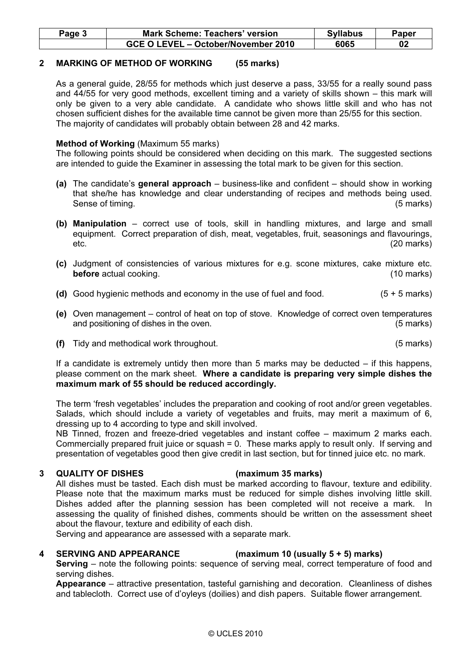| Page 5 | Mark Scheme: Teachers' version      | <b>Syllabus</b> | Paper |
|--------|-------------------------------------|-----------------|-------|
|        | GCE O LEVEL – October/November 2010 | 6065            | 02    |

#### 2 MARKING OF METHOD OF WORKING (55 marks)

 As a general guide, 28/55 for methods which just deserve a pass, 33/55 for a really sound pass and 44/55 for very good methods, excellent timing and a variety of skills shown – this mark will only be given to a very able candidate. A candidate who shows little skill and who has not chosen sufficient dishes for the available time cannot be given more than 25/55 for this section. The majority of candidates will probably obtain between 28 and 42 marks.

#### Method of Working (Maximum 55 marks)

 The following points should be considered when deciding on this mark. The suggested sections are intended to guide the Examiner in assessing the total mark to be given for this section.

- (a) The candidate's general approach business-like and confident should show in working that she/he has knowledge and clear understanding of recipes and methods being used. Sense of timing. (5 marks)
- (b) Manipulation correct use of tools, skill in handling mixtures, and large and small equipment. Correct preparation of dish, meat, vegetables, fruit, seasonings and flavourings, etc. (20 marks)
- (c) Judgment of consistencies of various mixtures for e.g. scone mixtures, cake mixture etc. **before** actual cooking. **Example 20** is a set of the set of the set of the set of the set of the set of the set of the set of the set of the set of the set of the set of the set of the set of the set of the set of the set
- (d) Good hygienic methods and economy in the use of fuel and food.  $(5 + 5$  marks)
- (e) Oven management control of heat on top of stove. Knowledge of correct oven temperatures and positioning of dishes in the oven. (5 marks)
- (f) Tidy and methodical work throughout. (5 marks)

 If a candidate is extremely untidy then more than 5 marks may be deducted – if this happens, please comment on the mark sheet. Where a candidate is preparing very simple dishes the maximum mark of 55 should be reduced accordingly.

 The term 'fresh vegetables' includes the preparation and cooking of root and/or green vegetables. Salads, which should include a variety of vegetables and fruits, may merit a maximum of 6, dressing up to 4 according to type and skill involved.

 NB Tinned, frozen and freeze-dried vegetables and instant coffee – maximum 2 marks each. Commercially prepared fruit juice or squash = 0. These marks apply to result only. If serving and presentation of vegetables good then give credit in last section, but for tinned juice etc. no mark.

#### 3 QUALITY OF DISHES (maximum 35 marks)

 All dishes must be tasted. Each dish must be marked according to flavour, texture and edibility. Please note that the maximum marks must be reduced for simple dishes involving little skill. Dishes added after the planning session has been completed will not receive a mark. In assessing the quality of finished dishes, comments should be written on the assessment sheet about the flavour, texture and edibility of each dish.

Serving and appearance are assessed with a separate mark.

#### 4 SERVING AND APPEARANCE (maximum 10 (usually 5 + 5) marks)

Serving – note the following points: sequence of serving meal, correct temperature of food and serving dishes.

Appearance – attractive presentation, tasteful garnishing and decoration. Cleanliness of dishes and tablecloth. Correct use of d'oyleys (doilies) and dish papers. Suitable flower arrangement.